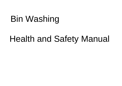# Bin Washing

## Health and Safety Manual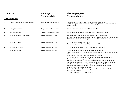### **The Risk Employers The Employees**

### THE VEHICLE

| 1. | Vehicle rolling forward during cleaning. | Keep vehicle well maintained. | Always point vehicle downhill where possible whilst washing.<br>Switch off engine and remove ignition key, apply handbrake and ensure first<br>gear is engaged.                                                                                                                                                                                                                                                                                                                                                                                                                                                                                                                                                                                                                                                                                |
|----|------------------------------------------|-------------------------------|------------------------------------------------------------------------------------------------------------------------------------------------------------------------------------------------------------------------------------------------------------------------------------------------------------------------------------------------------------------------------------------------------------------------------------------------------------------------------------------------------------------------------------------------------------------------------------------------------------------------------------------------------------------------------------------------------------------------------------------------------------------------------------------------------------------------------------------------|
| 2. | Falling from vehicle.                    | Keep vehicle well maintained. | Do not get in or out of vehicle whilst it is in motion.                                                                                                                                                                                                                                                                                                                                                                                                                                                                                                                                                                                                                                                                                                                                                                                        |
| 3. | Falling off vehicle.                     | Advising employees of risks.  | Do not sit on the outside of the vehicle when stationary or motion.                                                                                                                                                                                                                                                                                                                                                                                                                                                                                                                                                                                                                                                                                                                                                                            |
| 4. | Injury to pedestrians & motorists.       | Advise employees of risks.    | Be careful when opening rig doors. Always look for pedestrians<br>& motorists before opening doors. When reversing into a working area,<br>if available, use an assistant to guide you and check the area is clear.                                                                                                                                                                                                                                                                                                                                                                                                                                                                                                                                                                                                                            |
| 5. | Injury from vehicle.                     | Advise employees of risk.     | Do not go under vehicle at any time.<br>Do not attempt to repair the bin lift unit or the vehicle.                                                                                                                                                                                                                                                                                                                                                                                                                                                                                                                                                                                                                                                                                                                                             |
| 6. | Injury/damage by fire.                   | Advise employees of risk.     | Do not smoke in or around vehicle, because of engine fuels.                                                                                                                                                                                                                                                                                                                                                                                                                                                                                                                                                                                                                                                                                                                                                                                    |
| 7. | Injury from the bin.                     | Advise employees of risk.     | Do not stand under or behind the bin whilst on the bin lift.<br>Provide correct training. Ensure the bin is correctly placed on the bin lift before<br>lifting commences.<br>Always ensure the area is clear before lowering the bin.<br>Do not wash bins with holes in, as this will lead to the illegal discharge of<br>Polluted water onto the highway, which could cause a health hazard.<br>When washing commercial bins, it is desirable for two people to be present.<br>When washing commercial bins a working area of approx 20' behind the bin<br>Should be clear to avoid injury/damage should the bin fall off.<br>Ensure all bins washed or moved are placed safely and do not cause<br>Inconvenience or danger to the public.<br>Do not allow bins to obstruct pathways or roads whilst being washed or<br>Waiting to be washed. |

DO NOT LIFT WHEELED BINS MANUALLY.

**Responsibility Responsibility**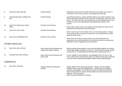| 8.  | Security of water tank lids.               | Provide training.                                                    | Operatives must ensure that water tank lids are correctly secure prior to<br>moving from site to site as well as at the beginning of the day.                                                                                                                                                                                                                          |  |  |  |
|-----|--------------------------------------------|----------------------------------------------------------------------|------------------------------------------------------------------------------------------------------------------------------------------------------------------------------------------------------------------------------------------------------------------------------------------------------------------------------------------------------------------------|--|--|--|
| 9.  | Contaminated water spillage from<br>bins.  | Provide training.                                                    | Liquid that has been in contact with the inside of any waste container must<br>not be deposited anywhere except within the recycling tray at the rear of the<br>bin rig. You must not turn a bin upside down on the road/pavement to dry<br>and thus run the risk of depositing contaminated liquid waste on the<br>surface.                                           |  |  |  |
| 10. | Injury from shutter door (where<br>fitted) | Provide correct training.                                            | Where fitted, shutter doors must always be closed after use each time to<br>avoid their slamming shut and causing injury.                                                                                                                                                                                                                                              |  |  |  |
| 11. | Injury from rinse nozzle.                  | Provide correct training.                                            | Never use the rinse nozzle unless a bin is in the raised position. Always<br>ensure that the bin is securely on and that no one is behind the bin when<br>using the rinse nozzle.                                                                                                                                                                                      |  |  |  |
| 12. | Injury from loose/falling items.           | Provide correct training.                                            | Never drive off or leave an area until you are sure that all items of<br>equipment are securely attached to the vehicle and that the working area<br>being left is clear of equipment and waste items.                                                                                                                                                                 |  |  |  |
|     | <b>OTHER VEHICLES</b>                      |                                                                      |                                                                                                                                                                                                                                                                                                                                                                        |  |  |  |
| 13. | Injury from other vehicles.                | Keep vehicle well maintained and<br>supply high visibility clothing. | Whilst working at the kerbside, ensure that the flashing light/s are working.<br>Issued high visibility clothing is to be worn. Staff to ensure that the vehicle<br>is facing the on-coming traffic and are therefore working away from it.                                                                                                                            |  |  |  |
| 14. | Accidents with other vehicles.             | Keep vehicle well maintained and<br>advise staff.                    | In poor visibility or dull conditions, use headlights only if you are on the<br>correct side of the road otherwise switch your lights off and when stationary<br>use your vehicle hazard warning lights and the hazard flashing lights.                                                                                                                                |  |  |  |
|     | <b>CHEMICALS</b>                           |                                                                      |                                                                                                                                                                                                                                                                                                                                                                        |  |  |  |
| 15. | Injury from chemicals.                     | Supply protective clothing and<br>training.                          | Always adhere to the training procedures. Always use the supplied<br>clothing. Always wear the supplied gloves. Always wear the supplied<br>protective eye goggles. Do not allow any water containing chemicals or<br>water that has been in contact with the inside of any bin to fall onto the<br>pathway. THIS IS ILLEGAL.<br>Never spray the deodoriser at anyone. |  |  |  |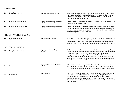#### HAND LANCE

| 16.                   | Injury from water jet.       | Supply correct training and advice.     | Never point the water jet at another person, whether the lance is in use or<br>not. Always have both hands on the lance. Always ensure there are no<br>pedestrians near to you. Whenever possible direct the water jet in the<br>direction of the rear of the vehicle.                                                                                                                                                                                                                                                                                  |  |  |
|-----------------------|------------------------------|-----------------------------------------|---------------------------------------------------------------------------------------------------------------------------------------------------------------------------------------------------------------------------------------------------------------------------------------------------------------------------------------------------------------------------------------------------------------------------------------------------------------------------------------------------------------------------------------------------------|--|--|
| 17.                   | Injury from the hand lance.  | Supply correct training and advice.     | Always keep the hand lance under control. Always ensure the area is clear<br>of people before moving the lance.                                                                                                                                                                                                                                                                                                                                                                                                                                         |  |  |
| 18.                   | Injury from hand lance hose. | Supply correct training and advice.     | Always ensure that the hose does not obstruct people's passage. Always<br>ensure when moving the hose that it does not interfere with pedestrians or<br>cars and does not cause an obstruction. Always return the lance and hose<br>to its storage position when not in use.                                                                                                                                                                                                                                                                            |  |  |
| THE BIN WASHER ENGINE |                              |                                         |                                                                                                                                                                                                                                                                                                                                                                                                                                                                                                                                                         |  |  |
| 19.                   | Injury from the engine.      | Supply training & advise.               | When using the pull start on the engine, ensure you sufficient room and that<br>no one is in the way of the pull. Do not smoke around the engine as the<br>fumes from the petrol could easily ignite causing injury. On completion of<br>work each day, ensure that the fuel is switched off and the throttle is closed.                                                                                                                                                                                                                                |  |  |
|                       | <b>GENERAL INJURIES</b>      |                                         |                                                                                                                                                                                                                                                                                                                                                                                                                                                                                                                                                         |  |  |
| 20.                   | Injury from bin contents.    | Supply protective clothing &<br>advise. | Staff should always check the contents of all bins prior to washing. Surplus<br>rubbish should be removed carefully with gloved hands or using the correct<br>rubbish tweezers or dustpan. Any injuries must be reported to the<br>management. Staff are expected to have up to date tetanus vaccinations<br>Full bins should not be emptied for any reason, but left for the contractor.<br>Do not attempt to clean bins that contain glass, blades or other dangerous<br>items. These must be left until the customer or the contractor empties them. |  |  |
| 21.                   | General Injuries.            | Supply first aid materials & advise.    | In the event of a minor injury, the supplied first aid kit and first aid manual<br>should be used. All items used from the first aid kit and the nature of the<br>injury must be entered in the company accident book held in the company<br>office.                                                                                                                                                                                                                                                                                                    |  |  |
| 22.                   | Major injuries.              | Supply advice.                          | In the event of a major injury, non-injured staff should administer first aid as<br>best they can and call for emergency services by dialling 999 from the<br>nearest phone. Management must be informed as soon as possible with<br>regard to the injury and will require the following information: Member of<br>staff injured, nature of injury, when emergency services called and to which<br>hospital taken.                                                                                                                                      |  |  |